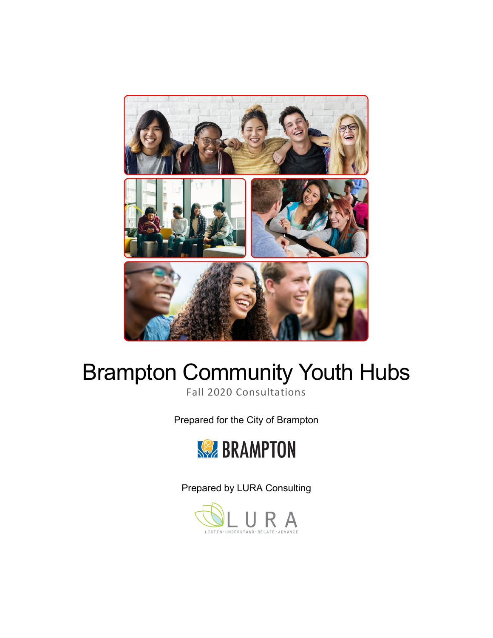

# Brampton Community Youth Hubs

Fall 2020 Consultations

Prepared for the City of Brampton



Prepared by LURA Consulting

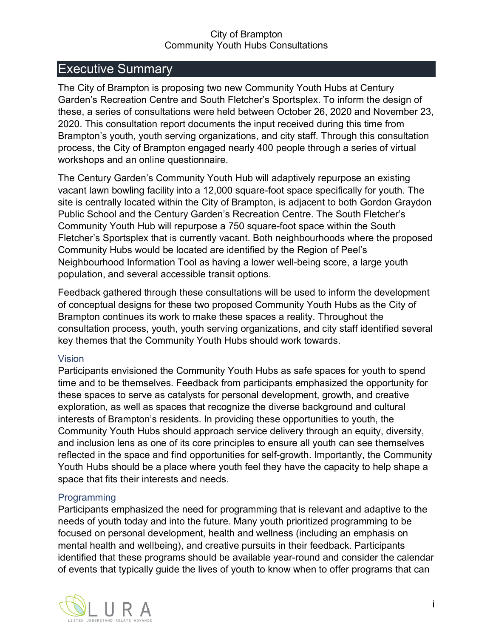## <span id="page-1-0"></span>Executive Summary

The City of Brampton is proposing two new Community Youth Hubs at Century Garden's Recreation Centre and South Fletcher's Sportsplex. To inform the design of these, a series of consultations were held between October 26, 2020 and November 23, 2020. This consultation report documents the input received during this time from Brampton's youth, youth serving organizations, and city staff. Through this consultation process, the City of Brampton engaged nearly 400 people through a series of virtual workshops and an online questionnaire.

The Century Garden's Community Youth Hub will adaptively repurpose an existing vacant lawn bowling facility into a 12,000 square-foot space specifically for youth. The site is centrally located within the City of Brampton, is adjacent to both Gordon Graydon Public School and the Century Garden's Recreation Centre. The South Fletcher's Community Youth Hub will repurpose a 750 square-foot space within the South Fletcher's Sportsplex that is currently vacant. Both neighbourhoods where the proposed Community Hubs would be located are identified by the Region of Peel's Neighbourhood Information Tool as having a lower well-being score, a large youth population, and several accessible transit options.

Feedback gathered through these consultations will be used to inform the development of conceptual designs for these two proposed Community Youth Hubs as the City of Brampton continues its work to make these spaces a reality. Throughout the consultation process, youth, youth serving organizations, and city staff identified several key themes that the Community Youth Hubs should work towards.

#### Vision

Participants envisioned the Community Youth Hubs as safe spaces for youth to spend time and to be themselves. Feedback from participants emphasized the opportunity for these spaces to serve as catalysts for personal development, growth, and creative exploration, as well as spaces that recognize the diverse background and cultural interests of Brampton's residents. In providing these opportunities to youth, the Community Youth Hubs should approach service delivery through an equity, diversity, and inclusion lens as one of its core principles to ensure all youth can see themselves reflected in the space and find opportunities for self-growth. Importantly, the Community Youth Hubs should be a place where youth feel they have the capacity to help shape a space that fits their interests and needs.

#### **Programming**

Participants emphasized the need for programming that is relevant and adaptive to the needs of youth today and into the future. Many youth prioritized programming to be focused on personal development, health and wellness (including an emphasis on mental health and wellbeing), and creative pursuits in their feedback. Participants identified that these programs should be available year-round and consider the calendar of events that typically guide the lives of youth to know when to offer programs that can

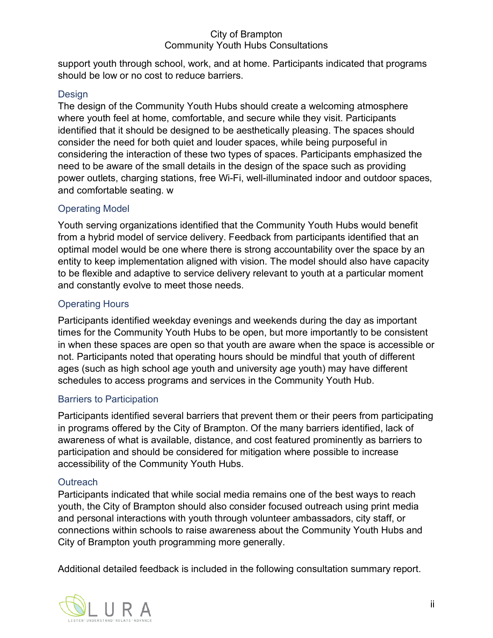support youth through school, work, and at home. Participants indicated that programs should be low or no cost to reduce barriers.

#### **Design**

The design of the Community Youth Hubs should create a welcoming atmosphere where youth feel at home, comfortable, and secure while they visit. Participants identified that it should be designed to be aesthetically pleasing. The spaces should consider the need for both quiet and louder spaces, while being purposeful in considering the interaction of these two types of spaces. Participants emphasized the need to be aware of the small details in the design of the space such as providing power outlets, charging stations, free Wi-Fi, well-illuminated indoor and outdoor spaces, and comfortable seating. w

## Operating Model

Youth serving organizations identified that the Community Youth Hubs would benefit from a hybrid model of service delivery. Feedback from participants identified that an optimal model would be one where there is strong accountability over the space by an entity to keep implementation aligned with vision. The model should also have capacity to be flexible and adaptive to service delivery relevant to youth at a particular moment and constantly evolve to meet those needs.

## Operating Hours

Participants identified weekday evenings and weekends during the day as important times for the Community Youth Hubs to be open, but more importantly to be consistent in when these spaces are open so that youth are aware when the space is accessible or not. Participants noted that operating hours should be mindful that youth of different ages (such as high school age youth and university age youth) may have different schedules to access programs and services in the Community Youth Hub.

## Barriers to Participation

Participants identified several barriers that prevent them or their peers from participating in programs offered by the City of Brampton. Of the many barriers identified, lack of awareness of what is available, distance, and cost featured prominently as barriers to participation and should be considered for mitigation where possible to increase accessibility of the Community Youth Hubs.

## **Outreach**

Participants indicated that while social media remains one of the best ways to reach youth, the City of Brampton should also consider focused outreach using print media and personal interactions with youth through volunteer ambassadors, city staff, or connections within schools to raise awareness about the Community Youth Hubs and City of Brampton youth programming more generally.

Additional detailed feedback is included in the following consultation summary report.

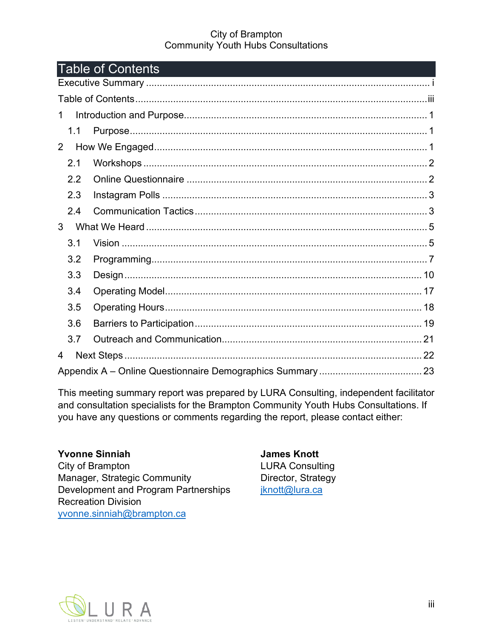<span id="page-3-0"></span>

| <b>Table of Contents</b> |  |  |
|--------------------------|--|--|
|                          |  |  |
|                          |  |  |
| $\mathbf 1$              |  |  |
| 1.1                      |  |  |
| $\mathbf{2}$             |  |  |
| 2.1                      |  |  |
| 2.2                      |  |  |
| 2.3                      |  |  |
| 2.4                      |  |  |
| 3                        |  |  |
| 3.1                      |  |  |
| 3.2                      |  |  |
| 3.3                      |  |  |
| 3.4                      |  |  |
| 3.5                      |  |  |
| 3.6                      |  |  |
| 3.7                      |  |  |
| 4                        |  |  |
|                          |  |  |

This meeting summary report was prepared by LURA Consulting, independent facilitator and consultation specialists for the Brampton Community Youth Hubs Consultations. If you have any questions or comments regarding the report, please contact either:

**Yvonne Sinniah** City of Brampton Manager, Strategic Community Development and Program Partnerships Recreation Division [yvonne.sinniah@brampton.ca](mailto:yvonne.sinniah@brampton.ca)

**James Knott** LURA Consulting Director, Strategy [jknott@lura.ca](mailto:jknott@lura.ca)

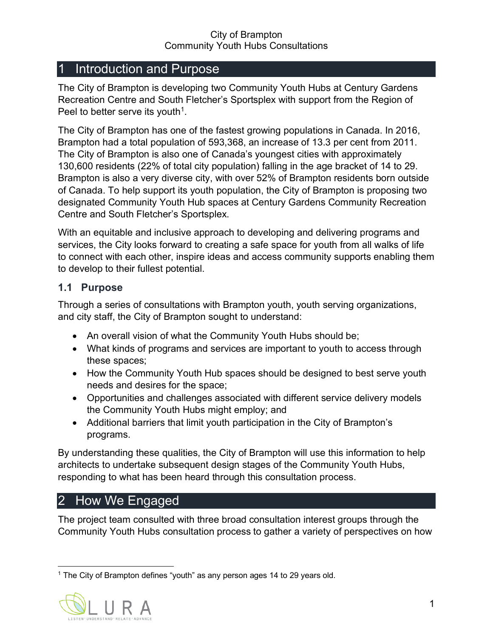## <span id="page-4-0"></span>Introduction and Purpose

The City of Brampton is developing two Community Youth Hubs at Century Gardens Recreation Centre and South Fletcher's Sportsplex with support from the Region of Peel to better serve its youth<sup>1</sup>.

The City of Brampton has one of the fastest growing populations in Canada. In 2016, Brampton had a total population of 593,368, an increase of 13.3 per cent from 2011. The City of Brampton is also one of Canada's youngest cities with approximately 130,600 residents (22% of total city population) falling in the age bracket of 14 to 29. Brampton is also a very diverse city, with over 52% of Brampton residents born outside of Canada. To help support its youth population, the City of Brampton is proposing two designated Community Youth Hub spaces at Century Gardens Community Recreation Centre and South Fletcher's Sportsplex.

With an equitable and inclusive approach to developing and delivering programs and services, the City looks forward to creating a safe space for youth from all walks of life to connect with each other, inspire ideas and access community supports enabling them to develop to their fullest potential.

## <span id="page-4-1"></span>**1.1 Purpose**

Through a series of consultations with Brampton youth, youth serving organizations, and city staff, the City of Brampton sought to understand:

- An overall vision of what the Community Youth Hubs should be;
- What kinds of programs and services are important to youth to access through these spaces;
- How the Community Youth Hub spaces should be designed to best serve youth needs and desires for the space;
- Opportunities and challenges associated with different service delivery models the Community Youth Hubs might employ; and
- Additional barriers that limit youth participation in the City of Brampton's programs.

By understanding these qualities, the City of Brampton will use this information to help architects to undertake subsequent design stages of the Community Youth Hubs, responding to what has been heard through this consultation process.

# <span id="page-4-2"></span>2 How We Engaged

The project team consulted with three broad consultation interest groups through the Community Youth Hubs consultation process to gather a variety of perspectives on how

<span id="page-4-3"></span><sup>&</sup>lt;sup>1</sup> The City of Brampton defines "youth" as any person ages 14 to 29 years old.

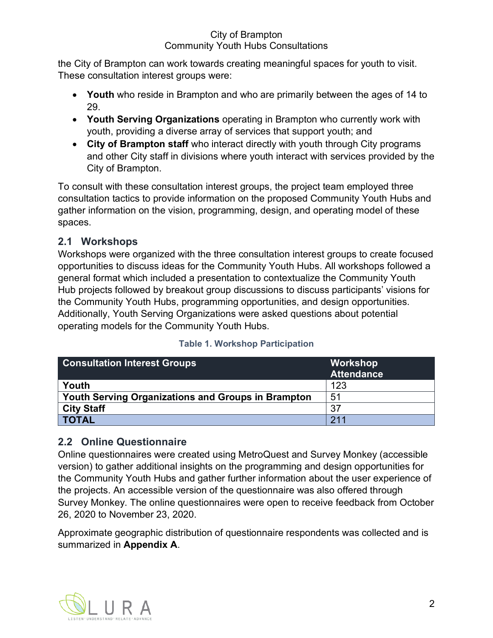the City of Brampton can work towards creating meaningful spaces for youth to visit. These consultation interest groups were:

- **Youth** who reside in Brampton and who are primarily between the ages of 14 to 29.
- **Youth Serving Organizations** operating in Brampton who currently work with youth, providing a diverse array of services that support youth; and
- **City of Brampton staff** who interact directly with youth through City programs and other City staff in divisions where youth interact with services provided by the City of Brampton.

To consult with these consultation interest groups, the project team employed three consultation tactics to provide information on the proposed Community Youth Hubs and gather information on the vision, programming, design, and operating model of these spaces.

## <span id="page-5-0"></span>**2.1 Workshops**

Workshops were organized with the three consultation interest groups to create focused opportunities to discuss ideas for the Community Youth Hubs. All workshops followed a general format which included a presentation to contextualize the Community Youth Hub projects followed by breakout group discussions to discuss participants' visions for the Community Youth Hubs, programming opportunities, and design opportunities. Additionally, Youth Serving Organizations were asked questions about potential operating models for the Community Youth Hubs.

| <b>Consultation Interest Groups</b>                       | Workshop<br><b>Attendance</b> |
|-----------------------------------------------------------|-------------------------------|
| Youth                                                     | 123                           |
| <b>Youth Serving Organizations and Groups in Brampton</b> | 51                            |
| <b>City Staff</b>                                         | 37                            |
| <b>TOTAL</b>                                              | 211                           |

## **Table 1. Workshop Participation**

## <span id="page-5-1"></span>**2.2 Online Questionnaire**

Online questionnaires were created using MetroQuest and Survey Monkey (accessible version) to gather additional insights on the programming and design opportunities for the Community Youth Hubs and gather further information about the user experience of the projects. An accessible version of the questionnaire was also offered through Survey Monkey. The online questionnaires were open to receive feedback from October 26, 2020 to November 23, 2020.

Approximate geographic distribution of questionnaire respondents was collected and is summarized in **Appendix A**.

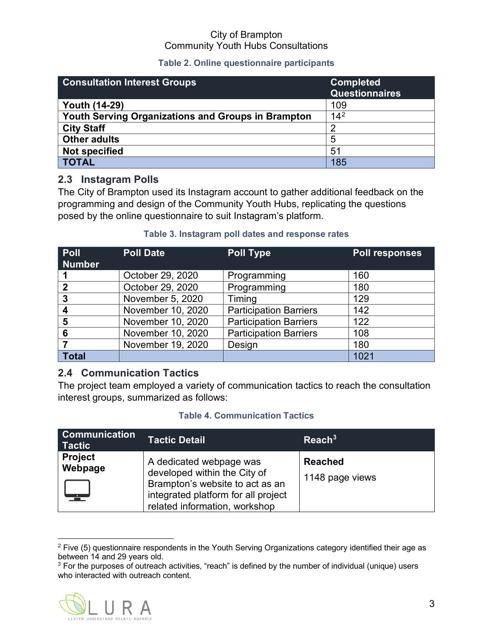#### **Table 2. Online questionnaire participants**

| <b>Consultation Interest Groups</b>                       | <b>Completed</b><br><b>Questionnaires</b> |
|-----------------------------------------------------------|-------------------------------------------|
| <b>Youth (14-29)</b>                                      | 109                                       |
| <b>Youth Serving Organizations and Groups in Brampton</b> | $14^{2}$                                  |
| <b>City Staff</b>                                         | 2                                         |
| <b>Other adults</b>                                       | 5                                         |
| <b>Not specified</b>                                      | 51                                        |
| <b>TOTAL</b>                                              | 185                                       |

## <span id="page-6-0"></span>**2.3 Instagram Polls**

The City of Brampton used its Instagram account to gather additional feedback on the programming and design of the Community Youth Hubs, replicating the questions posed by the online questionnaire to suit Instagram's platform.

#### **Poll Number Poll Date Poll Type Poll responses 1** October 29, 2020 Programming 160 **2** | October 29, 2020 | Programming | 180 **3** November 5, 2020 Timing 129 <u>4 November 10, 2020 Participation Barriers 142</u><br>**5** November 10, 2020 Participation Barriers 122 **November 10, 2020** Participation Barriers 122 **6** November 10, 2020 Participation Barriers 108<br> **7** November 19, 2020 Design 180 **7** November 19, 2020 Design 180 **Total** Blank Blank 1021

#### **Table 3. Instagram poll dates and response rates**

## <span id="page-6-1"></span>**2.4 Communication Tactics**

The project team employed a variety of communication tactics to reach the consultation interest groups, summarized as follows:

#### **Table 4. Communication Tactics**

| <b>Communication</b><br><b>Tactic</b> | <b>Tactic Detail</b>                                                                                                                                               | $\sf{Reach}^3$                    |
|---------------------------------------|--------------------------------------------------------------------------------------------------------------------------------------------------------------------|-----------------------------------|
| <b>Project</b><br>Webpage             | A dedicated webpage was<br>developed within the City of<br>Brampton's website to act as an<br>integrated platform for all project<br>related information, workshop | <b>Reached</b><br>1148 page views |

 $2$  Five (5) questionnaire respondents in the Youth Serving Organizations category identified their age as between 14 and 29 years old.

<span id="page-6-3"></span><span id="page-6-2"></span><sup>&</sup>lt;sup>3</sup> For the purposes of outreach activities, "reach" is defined by the number of individual (unique) users who interacted with outreach content.

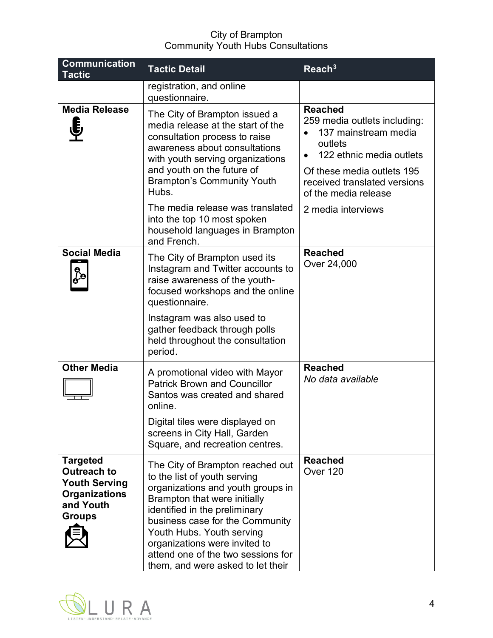| <b>Communication</b><br><b>Tactic</b>                                                                               | <b>Tactic Detail</b>                                                                                                                                                                                                                                                                                                                               | Reach <sup>3</sup>                                                                                                                                                                                  |
|---------------------------------------------------------------------------------------------------------------------|----------------------------------------------------------------------------------------------------------------------------------------------------------------------------------------------------------------------------------------------------------------------------------------------------------------------------------------------------|-----------------------------------------------------------------------------------------------------------------------------------------------------------------------------------------------------|
|                                                                                                                     | registration, and online<br>questionnaire.                                                                                                                                                                                                                                                                                                         |                                                                                                                                                                                                     |
| <b>Media Release</b>                                                                                                | The City of Brampton issued a<br>media release at the start of the<br>consultation process to raise<br>awareness about consultations<br>with youth serving organizations<br>and youth on the future of<br><b>Brampton's Community Youth</b><br>Hubs.                                                                                               | <b>Reached</b><br>259 media outlets including:<br>137 mainstream media<br>outlets<br>122 ethnic media outlets<br>Of these media outlets 195<br>received translated versions<br>of the media release |
|                                                                                                                     | The media release was translated<br>into the top 10 most spoken<br>household languages in Brampton<br>and French.                                                                                                                                                                                                                                  | 2 media interviews                                                                                                                                                                                  |
| <b>Social Media</b><br>ဓ)<br>မွ်ဇ                                                                                   | The City of Brampton used its<br>Instagram and Twitter accounts to<br>raise awareness of the youth-<br>focused workshops and the online<br>questionnaire.                                                                                                                                                                                          | <b>Reached</b><br>Over 24,000                                                                                                                                                                       |
|                                                                                                                     | Instagram was also used to<br>gather feedback through polls<br>held throughout the consultation<br>period.                                                                                                                                                                                                                                         |                                                                                                                                                                                                     |
| <b>Other Media</b>                                                                                                  | A promotional video with Mayor<br><b>Patrick Brown and Councillor</b><br>Santos was created and shared<br>online.                                                                                                                                                                                                                                  | <b>Reached</b><br>No data available                                                                                                                                                                 |
|                                                                                                                     | Digital tiles were displayed on<br>screens in City Hall, Garden<br>Square, and recreation centres.                                                                                                                                                                                                                                                 |                                                                                                                                                                                                     |
| <b>Targeted</b><br><b>Outreach to</b><br><b>Youth Serving</b><br><b>Organizations</b><br>and Youth<br><b>Groups</b> | The City of Brampton reached out<br>to the list of youth serving<br>organizations and youth groups in<br>Brampton that were initially<br>identified in the preliminary<br>business case for the Community<br>Youth Hubs. Youth serving<br>organizations were invited to<br>attend one of the two sessions for<br>them, and were asked to let their | <b>Reached</b><br>Over 120                                                                                                                                                                          |

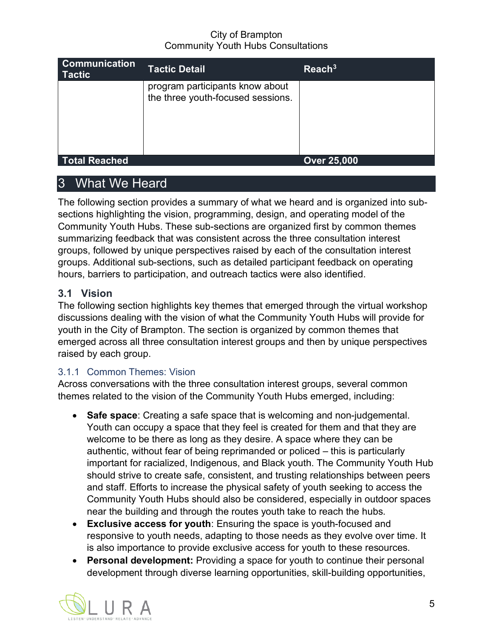| <b>Communication</b><br><b>Tactic</b> | <b>Tactic Detail</b>                                                 | $\text{Reach}^3$   |
|---------------------------------------|----------------------------------------------------------------------|--------------------|
|                                       | program participants know about<br>the three youth-focused sessions. |                    |
|                                       |                                                                      |                    |
| Total Reached                         |                                                                      | <b>Over 25,000</b> |

# <span id="page-8-0"></span>What We Heard

The following section provides a summary of what we heard and is organized into subsections highlighting the vision, programming, design, and operating model of the Community Youth Hubs. These sub-sections are organized first by common themes summarizing feedback that was consistent across the three consultation interest groups, followed by unique perspectives raised by each of the consultation interest groups. Additional sub-sections, such as detailed participant feedback on operating hours, barriers to participation, and outreach tactics were also identified.

## <span id="page-8-1"></span>**3.1 Vision**

The following section highlights key themes that emerged through the virtual workshop discussions dealing with the vision of what the Community Youth Hubs will provide for youth in the City of Brampton. The section is organized by common themes that emerged across all three consultation interest groups and then by unique perspectives raised by each group.

## 3.1.1 Common Themes: Vision

Across conversations with the three consultation interest groups, several common themes related to the vision of the Community Youth Hubs emerged, including:

- **Safe space**: Creating a safe space that is welcoming and non-judgemental. Youth can occupy a space that they feel is created for them and that they are welcome to be there as long as they desire. A space where they can be authentic, without fear of being reprimanded or policed – this is particularly important for racialized, Indigenous, and Black youth. The Community Youth Hub should strive to create safe, consistent, and trusting relationships between peers and staff. Efforts to increase the physical safety of youth seeking to access the Community Youth Hubs should also be considered, especially in outdoor spaces near the building and through the routes youth take to reach the hubs.
- **Exclusive access for youth**: Ensuring the space is youth-focused and responsive to youth needs, adapting to those needs as they evolve over time. It is also importance to provide exclusive access for youth to these resources.
- **Personal development:** Providing a space for youth to continue their personal development through diverse learning opportunities, skill-building opportunities,

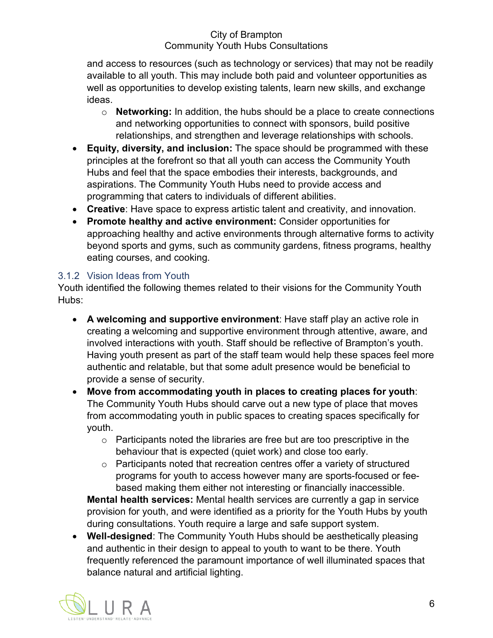and access to resources (such as technology or services) that may not be readily available to all youth. This may include both paid and volunteer opportunities as well as opportunities to develop existing talents, learn new skills, and exchange ideas.

- o **Networking:** In addition, the hubs should be a place to create connections and networking opportunities to connect with sponsors, build positive relationships, and strengthen and leverage relationships with schools.
- **Equity, diversity, and inclusion:** The space should be programmed with these principles at the forefront so that all youth can access the Community Youth Hubs and feel that the space embodies their interests, backgrounds, and aspirations. The Community Youth Hubs need to provide access and programming that caters to individuals of different abilities.
- **Creative**: Have space to express artistic talent and creativity, and innovation.
- **Promote healthy and active environment:** Consider opportunities for approaching healthy and active environments through alternative forms to activity beyond sports and gyms, such as community gardens, fitness programs, healthy eating courses, and cooking.

## 3.1.2 Vision Ideas from Youth

Youth identified the following themes related to their visions for the Community Youth Hubs:

- **A welcoming and supportive environment**: Have staff play an active role in creating a welcoming and supportive environment through attentive, aware, and involved interactions with youth. Staff should be reflective of Brampton's youth. Having youth present as part of the staff team would help these spaces feel more authentic and relatable, but that some adult presence would be beneficial to provide a sense of security.
- **Move from accommodating youth in places to creating places for youth**: The Community Youth Hubs should carve out a new type of place that moves from accommodating youth in public spaces to creating spaces specifically for youth.
	- $\circ$  Participants noted the libraries are free but are too prescriptive in the behaviour that is expected (quiet work) and close too early.
	- o Participants noted that recreation centres offer a variety of structured programs for youth to access however many are sports-focused or feebased making them either not interesting or financially inaccessible.

**Mental health services:** Mental health services are currently a gap in service provision for youth, and were identified as a priority for the Youth Hubs by youth during consultations. Youth require a large and safe support system.

• **Well-designed**: The Community Youth Hubs should be aesthetically pleasing and authentic in their design to appeal to youth to want to be there. Youth frequently referenced the paramount importance of well illuminated spaces that balance natural and artificial lighting.

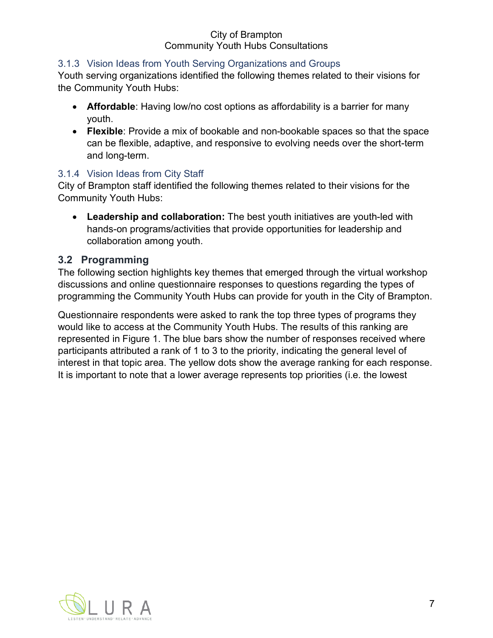## 3.1.3 Vision Ideas from Youth Serving Organizations and Groups

Youth serving organizations identified the following themes related to their visions for the Community Youth Hubs:

- **Affordable**: Having low/no cost options as affordability is a barrier for many youth.
- **Flexible**: Provide a mix of bookable and non-bookable spaces so that the space can be flexible, adaptive, and responsive to evolving needs over the short-term and long-term.

#### 3.1.4 Vision Ideas from City Staff

City of Brampton staff identified the following themes related to their visions for the Community Youth Hubs:

• **Leadership and collaboration:** The best youth initiatives are youth-led with hands-on programs/activities that provide opportunities for leadership and collaboration among youth.

## <span id="page-10-0"></span>**3.2 Programming**

The following section highlights key themes that emerged through the virtual workshop discussions and online questionnaire responses to questions regarding the types of programming the Community Youth Hubs can provide for youth in the City of Brampton.

Questionnaire respondents were asked to rank the top three types of programs they would like to access at the Community Youth Hubs. The results of this ranking are represented in Figure 1. The blue bars show the number of responses received where participants attributed a rank of 1 to 3 to the priority, indicating the general level of interest in that topic area. The yellow dots show the average ranking for each response. It is important to note that a lower average represents top priorities (i.e. the lowest

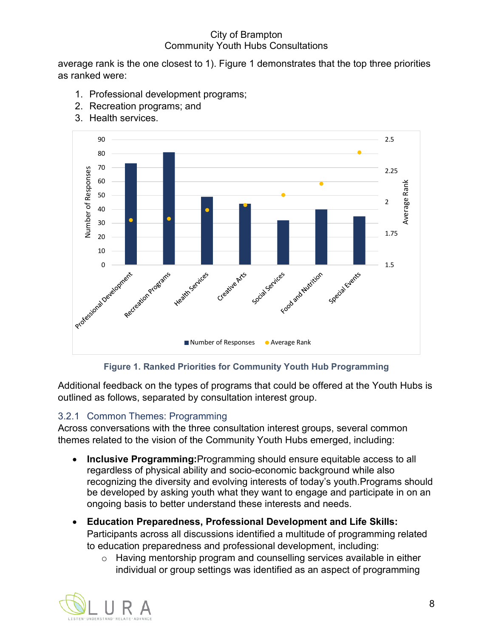average rank is the one closest to 1). Figure 1 demonstrates that the top three priorities as ranked were:

- 1. Professional development programs;
- 2. Recreation programs; and
- 3. Health services.



#### **Figure 1. Ranked Priorities for Community Youth Hub Programming**

Additional feedback on the types of programs that could be offered at the Youth Hubs is outlined as follows, separated by consultation interest group.

#### 3.2.1 Common Themes: Programming

Across conversations with the three consultation interest groups, several common themes related to the vision of the Community Youth Hubs emerged, including:

- **Inclusive Programming:**Programming should ensure equitable access to all regardless of physical ability and socio-economic background while also recognizing the diversity and evolving interests of today's youth.Programs should be developed by asking youth what they want to engage and participate in on an ongoing basis to better understand these interests and needs.
- **Education Preparedness, Professional Development and Life Skills:**  Participants across all discussions identified a multitude of programming related to education preparedness and professional development, including:
	- o Having mentorship program and counselling services available in either individual or group settings was identified as an aspect of programming

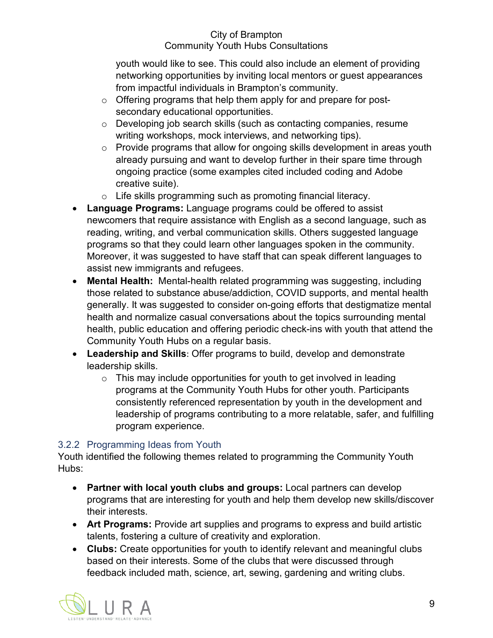youth would like to see. This could also include an element of providing networking opportunities by inviting local mentors or guest appearances from impactful individuals in Brampton's community.

- o Offering programs that help them apply for and prepare for postsecondary educational opportunities.
- o Developing job search skills (such as contacting companies, resume writing workshops, mock interviews, and networking tips).
- o Provide programs that allow for ongoing skills development in areas youth already pursuing and want to develop further in their spare time through ongoing practice (some examples cited included coding and Adobe creative suite).
- o Life skills programming such as promoting financial literacy.
- **Language Programs:** Language programs could be offered to assist newcomers that require assistance with English as a second language, such as reading, writing, and verbal communication skills. Others suggested language programs so that they could learn other languages spoken in the community. Moreover, it was suggested to have staff that can speak different languages to assist new immigrants and refugees.
- **Mental Health:** Mental-health related programming was suggesting, including those related to substance abuse/addiction, COVID supports, and mental health generally. It was suggested to consider on-going efforts that destigmatize mental health and normalize casual conversations about the topics surrounding mental health, public education and offering periodic check-ins with youth that attend the Community Youth Hubs on a regular basis.
- **Leadership and Skills**: Offer programs to build, develop and demonstrate leadership skills.
	- $\circ$  This may include opportunities for youth to get involved in leading programs at the Community Youth Hubs for other youth. Participants consistently referenced representation by youth in the development and leadership of programs contributing to a more relatable, safer, and fulfilling program experience.

## 3.2.2 Programming Ideas from Youth

Youth identified the following themes related to programming the Community Youth Hubs:

- **Partner with local youth clubs and groups:** Local partners can develop programs that are interesting for youth and help them develop new skills/discover their interests.
- **Art Programs:** Provide art supplies and programs to express and build artistic talents, fostering a culture of creativity and exploration.
- **Clubs:** Create opportunities for youth to identify relevant and meaningful clubs based on their interests. Some of the clubs that were discussed through feedback included math, science, art, sewing, gardening and writing clubs.

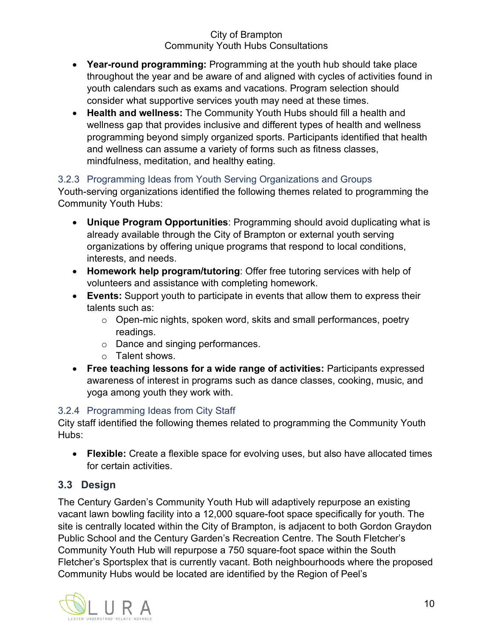- **Year-round programming:** Programming at the youth hub should take place throughout the year and be aware of and aligned with cycles of activities found in youth calendars such as exams and vacations. Program selection should consider what supportive services youth may need at these times.
- **Health and wellness:** The Community Youth Hubs should fill a health and wellness gap that provides inclusive and different types of health and wellness programming beyond simply organized sports. Participants identified that health and wellness can assume a variety of forms such as fitness classes, mindfulness, meditation, and healthy eating.

## 3.2.3 Programming Ideas from Youth Serving Organizations and Groups

Youth-serving organizations identified the following themes related to programming the Community Youth Hubs:

- **Unique Program Opportunities**: Programming should avoid duplicating what is already available through the City of Brampton or external youth serving organizations by offering unique programs that respond to local conditions, interests, and needs.
- **Homework help program/tutoring**: Offer free tutoring services with help of volunteers and assistance with completing homework.
- **Events:** Support youth to participate in events that allow them to express their talents such as:
	- o Open-mic nights, spoken word, skits and small performances, poetry readings.
	- o Dance and singing performances.
	- o Talent shows.
- **Free teaching lessons for a wide range of activities:** Participants expressed awareness of interest in programs such as dance classes, cooking, music, and yoga among youth they work with.

## 3.2.4 Programming Ideas from City Staff

City staff identified the following themes related to programming the Community Youth Hubs:

• **Flexible:** Create a flexible space for evolving uses, but also have allocated times for certain activities.

## <span id="page-13-0"></span>**3.3 Design**

The Century Garden's Community Youth Hub will adaptively repurpose an existing vacant lawn bowling facility into a 12,000 square-foot space specifically for youth. The site is centrally located within the City of Brampton, is adjacent to both Gordon Graydon Public School and the Century Garden's Recreation Centre. The South Fletcher's Community Youth Hub will repurpose a 750 square-foot space within the South Fletcher's Sportsplex that is currently vacant. Both neighbourhoods where the proposed Community Hubs would be located are identified by the Region of Peel's

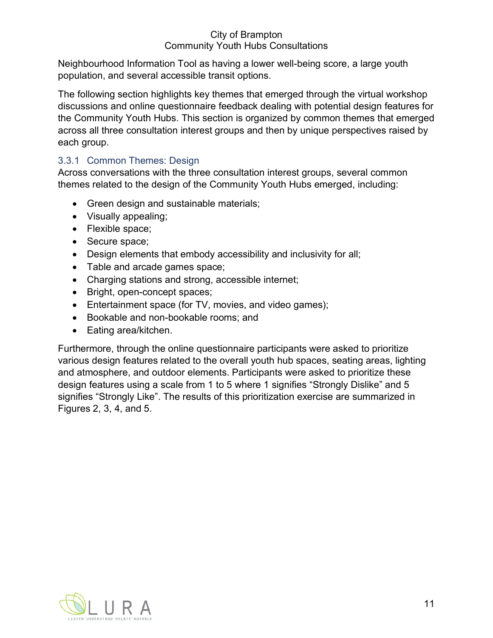Neighbourhood Information Tool as having a lower well-being score, a large youth population, and several accessible transit options.

The following section highlights key themes that emerged through the virtual workshop discussions and online questionnaire feedback dealing with potential design features for the Community Youth Hubs. This section is organized by common themes that emerged across all three consultation interest groups and then by unique perspectives raised by each group.

## 3.3.1 Common Themes: Design

Across conversations with the three consultation interest groups, several common themes related to the design of the Community Youth Hubs emerged, including:

- Green design and sustainable materials;
- Visually appealing;
- Flexible space;
- Secure space;
- Design elements that embody accessibility and inclusivity for all;
- Table and arcade games space;
- Charging stations and strong, accessible internet;
- Bright, open-concept spaces;
- Entertainment space (for TV, movies, and video games);
- Bookable and non-bookable rooms; and
- Eating area/kitchen.

Furthermore, through the online questionnaire participants were asked to prioritize various design features related to the overall youth hub spaces, seating areas, lighting and atmosphere, and outdoor elements. Participants were asked to prioritize these design features using a scale from 1 to 5 where 1 signifies "Strongly Dislike" and 5 signifies "Strongly Like". The results of this prioritization exercise are summarized in Figures 2, 3, 4, and 5.

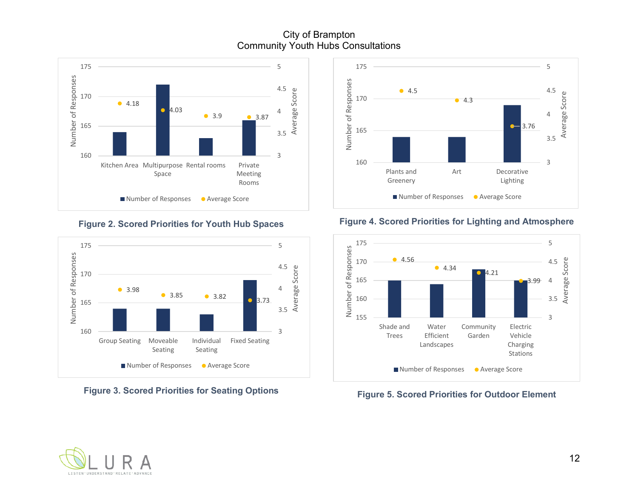City of Brampton Community Youth Hubs Consultations



**Figure 2. Scored Priorities for Youth Hub Spaces**



**Figure 3. Scored Priorities for Seating Options**



#### **Figure 4. Scored Priorities for Lighting and Atmosphere**



**Figure 5. Scored Priorities for Outdoor Element**

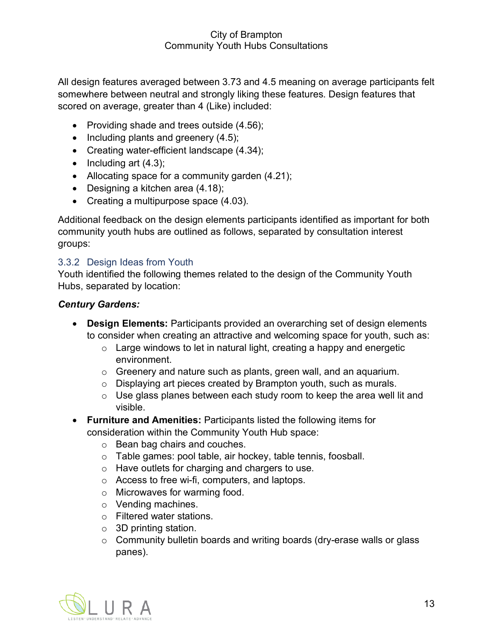All design features averaged between 3.73 and 4.5 meaning on average participants felt somewhere between neutral and strongly liking these features. Design features that scored on average, greater than 4 (Like) included:

- Providing shade and trees outside (4.56);
- Including plants and greenery (4.5);
- Creating water-efficient landscape (4.34);
- Including art (4.3);
- Allocating space for a community garden (4.21);
- Designing a kitchen area (4.18);
- Creating a multipurpose space (4.03).

Additional feedback on the design elements participants identified as important for both community youth hubs are outlined as follows, separated by consultation interest groups:

#### 3.3.2 Design Ideas from Youth

Youth identified the following themes related to the design of the Community Youth Hubs, separated by location:

#### *Century Gardens:*

- **Design Elements:** Participants provided an overarching set of design elements to consider when creating an attractive and welcoming space for youth, such as:
	- $\circ$  Large windows to let in natural light, creating a happy and energetic environment.
	- o Greenery and nature such as plants, green wall, and an aquarium.
	- o Displaying art pieces created by Brampton youth, such as murals.
	- $\circ$  Use glass planes between each study room to keep the area well lit and visible.
- **Furniture and Amenities:** Participants listed the following items for consideration within the Community Youth Hub space:
	- o Bean bag chairs and couches.
	- o Table games: pool table, air hockey, table tennis, foosball.
	- o Have outlets for charging and chargers to use.
	- o Access to free wi-fi, computers, and laptops.
	- o Microwaves for warming food.
	- o Vending machines.
	- o Filtered water stations.
	- o 3D printing station.
	- o Community bulletin boards and writing boards (dry-erase walls or glass panes).

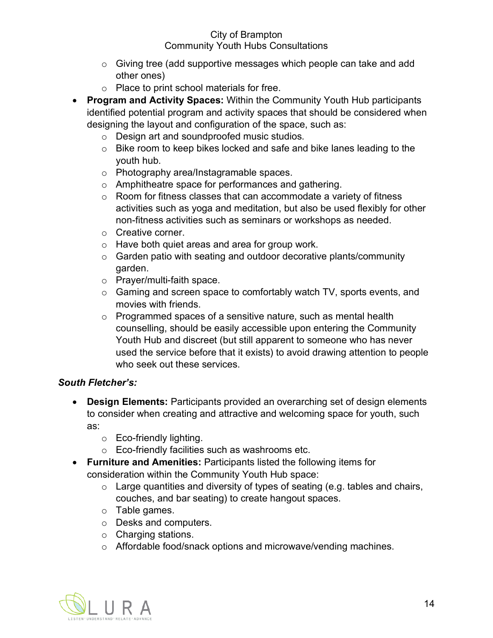- o Giving tree (add supportive messages which people can take and add other ones)
- o Place to print school materials for free.
- **Program and Activity Spaces:** Within the Community Youth Hub participants identified potential program and activity spaces that should be considered when designing the layout and configuration of the space, such as:
	- o Design art and soundproofed music studios.
	- o Bike room to keep bikes locked and safe and bike lanes leading to the youth hub.
	- o Photography area/Instagramable spaces.
	- o Amphitheatre space for performances and gathering.
	- $\circ$  Room for fitness classes that can accommodate a variety of fitness activities such as yoga and meditation, but also be used flexibly for other non-fitness activities such as seminars or workshops as needed.
	- o Creative corner.
	- o Have both quiet areas and area for group work.
	- o Garden patio with seating and outdoor decorative plants/community garden.
	- o Prayer/multi-faith space.
	- o Gaming and screen space to comfortably watch TV, sports events, and movies with friends.
	- o Programmed spaces of a sensitive nature, such as mental health counselling, should be easily accessible upon entering the Community Youth Hub and discreet (but still apparent to someone who has never used the service before that it exists) to avoid drawing attention to people who seek out these services.

## *South Fletcher's:*

- **Design Elements:** Participants provided an overarching set of design elements to consider when creating and attractive and welcoming space for youth, such as:
	- o Eco-friendly lighting.
	- o Eco-friendly facilities such as washrooms etc.
- **Furniture and Amenities:** Participants listed the following items for consideration within the Community Youth Hub space:
	- $\circ$  Large quantities and diversity of types of seating (e.g. tables and chairs, couches, and bar seating) to create hangout spaces.
	- o Table games.
	- o Desks and computers.
	- o Charging stations.
	- o Affordable food/snack options and microwave/vending machines.

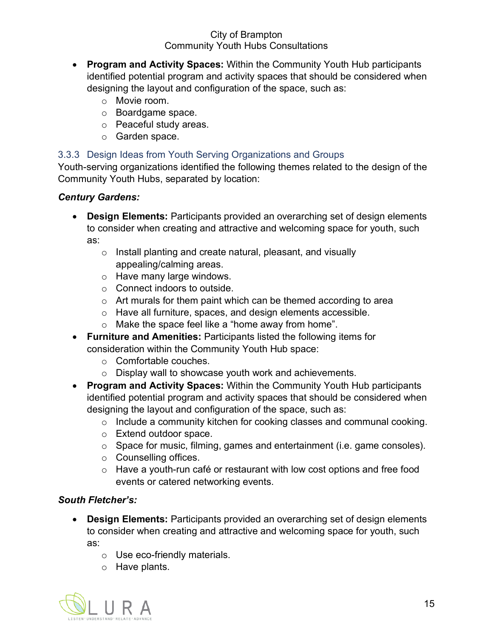- **Program and Activity Spaces:** Within the Community Youth Hub participants identified potential program and activity spaces that should be considered when designing the layout and configuration of the space, such as:
	- o Movie room.
	- o Boardgame space.
	- o Peaceful study areas.
	- o Garden space.

#### 3.3.3 Design Ideas from Youth Serving Organizations and Groups

Youth-serving organizations identified the following themes related to the design of the Community Youth Hubs, separated by location:

#### *Century Gardens:*

- **Design Elements:** Participants provided an overarching set of design elements to consider when creating and attractive and welcoming space for youth, such as:
	- o Install planting and create natural, pleasant, and visually appealing/calming areas.
	- o Have many large windows.
	- o Connect indoors to outside.
	- o Art murals for them paint which can be themed according to area
	- o Have all furniture, spaces, and design elements accessible.
	- o Make the space feel like a "home away from home".
- **Furniture and Amenities:** Participants listed the following items for consideration within the Community Youth Hub space:
	- o Comfortable couches.
	- o Display wall to showcase youth work and achievements.
- **Program and Activity Spaces:** Within the Community Youth Hub participants identified potential program and activity spaces that should be considered when designing the layout and configuration of the space, such as:
	- o Include a community kitchen for cooking classes and communal cooking.
	- o Extend outdoor space.
	- o Space for music, filming, games and entertainment (i.e. game consoles).
	- o Counselling offices.
	- o Have a youth-run café or restaurant with low cost options and free food events or catered networking events.

## *South Fletcher's:*

- **Design Elements:** Participants provided an overarching set of design elements to consider when creating and attractive and welcoming space for youth, such as:
	- o Use eco-friendly materials.
	- o Have plants.

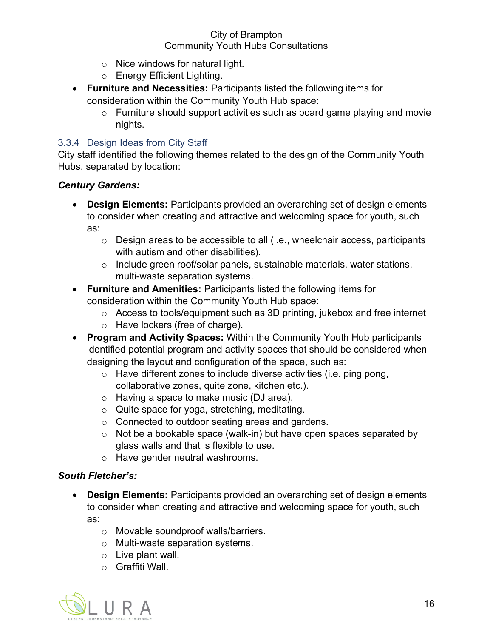- o Nice windows for natural light.
- o Energy Efficient Lighting.
- **Furniture and Necessities:** Participants listed the following items for consideration within the Community Youth Hub space:
	- o Furniture should support activities such as board game playing and movie nights.

#### 3.3.4 Design Ideas from City Staff

City staff identified the following themes related to the design of the Community Youth Hubs, separated by location:

#### *Century Gardens:*

- **Design Elements:** Participants provided an overarching set of design elements to consider when creating and attractive and welcoming space for youth, such as:
	- o Design areas to be accessible to all (i.e., wheelchair access, participants with autism and other disabilities).
	- o Include green roof/solar panels, sustainable materials, water stations, multi-waste separation systems.
- **Furniture and Amenities:** Participants listed the following items for consideration within the Community Youth Hub space:
	- o Access to tools/equipment such as 3D printing, jukebox and free internet
	- o Have lockers (free of charge).
- **Program and Activity Spaces:** Within the Community Youth Hub participants identified potential program and activity spaces that should be considered when designing the layout and configuration of the space, such as:
	- o Have different zones to include diverse activities (i.e. ping pong, collaborative zones, quite zone, kitchen etc.).
	- o Having a space to make music (DJ area).
	- o Quite space for yoga, stretching, meditating.
	- o Connected to outdoor seating areas and gardens.
	- $\circ$  Not be a bookable space (walk-in) but have open spaces separated by glass walls and that is flexible to use.
	- o Have gender neutral washrooms.

#### *South Fletcher's:*

- **Design Elements:** Participants provided an overarching set of design elements to consider when creating and attractive and welcoming space for youth, such as:
	- o Movable soundproof walls/barriers.
	- o Multi-waste separation systems.
	- o Live plant wall.
	- o Graffiti Wall.

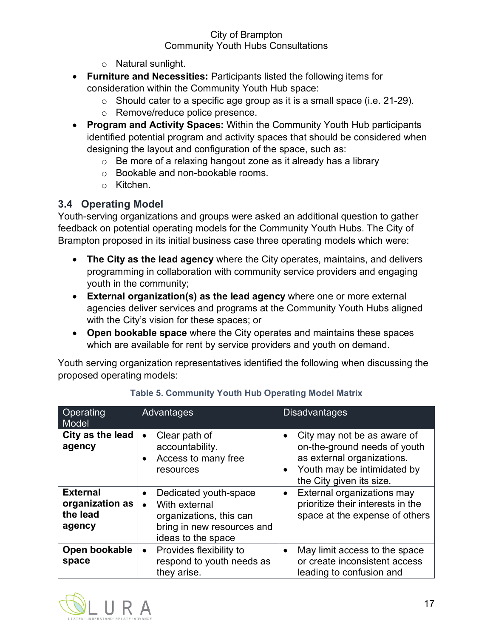- o Natural sunlight.
- **Furniture and Necessities:** Participants listed the following items for consideration within the Community Youth Hub space:
	- $\circ$  Should cater to a specific age group as it is a small space (i.e. 21-29).
	- o Remove/reduce police presence.
- **Program and Activity Spaces:** Within the Community Youth Hub participants identified potential program and activity spaces that should be considered when designing the layout and configuration of the space, such as:
	- $\circ$  Be more of a relaxing hangout zone as it already has a library
	- o Bookable and non-bookable rooms.
	- o Kitchen.

## <span id="page-20-0"></span>**3.4 Operating Model**

Youth-serving organizations and groups were asked an additional question to gather feedback on potential operating models for the Community Youth Hubs. The City of Brampton proposed in its initial business case three operating models which were:

- **The City as the lead agency** where the City operates, maintains, and delivers programming in collaboration with community service providers and engaging youth in the community;
- **External organization(s) as the lead agency** where one or more external agencies deliver services and programs at the Community Youth Hubs aligned with the City's vision for these spaces; or
- **Open bookable space** where the City operates and maintains these spaces which are available for rent by service providers and youth on demand.

Youth serving organization representatives identified the following when discussing the proposed operating models:

| Operating<br>Model                                       | Advantages                                                                                                            | <b>Disadvantages</b>                                                                                                                                 |
|----------------------------------------------------------|-----------------------------------------------------------------------------------------------------------------------|------------------------------------------------------------------------------------------------------------------------------------------------------|
| City as the lead<br>agency                               | Clear path of<br>$\bullet$<br>accountability.<br>Access to many free<br>$\bullet$<br>resources                        | City may not be as aware of<br>on-the-ground needs of youth<br>as external organizations.<br>Youth may be intimidated by<br>the City given its size. |
| <b>External</b><br>organization as<br>the lead<br>agency | Dedicated youth-space<br>With external<br>organizations, this can<br>bring in new resources and<br>ideas to the space | External organizations may<br>prioritize their interests in the<br>space at the expense of others                                                    |
| Open bookable<br>space                                   | Provides flexibility to<br>$\bullet$<br>respond to youth needs as<br>they arise.                                      | May limit access to the space<br>or create inconsistent access<br>leading to confusion and                                                           |

## **Table 5. Community Youth Hub Operating Model Matrix**

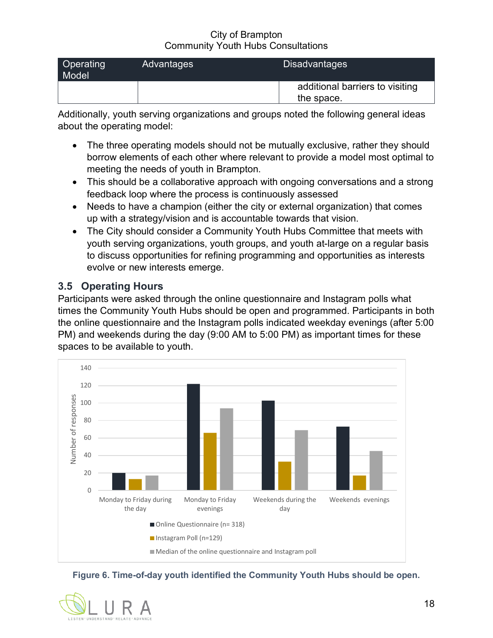| Operating<br>Model | Advantages | <b>Disadvantages</b>                          |
|--------------------|------------|-----------------------------------------------|
|                    |            | additional barriers to visiting<br>the space. |

Additionally, youth serving organizations and groups noted the following general ideas about the operating model:

- The three operating models should not be mutually exclusive, rather they should borrow elements of each other where relevant to provide a model most optimal to meeting the needs of youth in Brampton.
- This should be a collaborative approach with ongoing conversations and a strong feedback loop where the process is continuously assessed
- Needs to have a champion (either the city or external organization) that comes up with a strategy/vision and is accountable towards that vision.
- The City should consider a Community Youth Hubs Committee that meets with youth serving organizations, youth groups, and youth at-large on a regular basis to discuss opportunities for refining programming and opportunities as interests evolve or new interests emerge.

## <span id="page-21-0"></span>**3.5 Operating Hours**

Participants were asked through the online questionnaire and Instagram polls what times the Community Youth Hubs should be open and programmed. Participants in both the online questionnaire and the Instagram polls indicated weekday evenings (after 5:00 PM) and weekends during the day (9:00 AM to 5:00 PM) as important times for these spaces to be available to youth.



**Figure 6. Time-of-day youth identified the Community Youth Hubs should be open.**

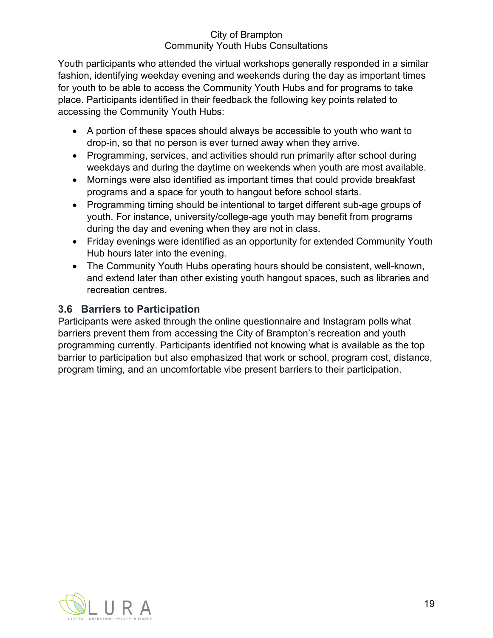Youth participants who attended the virtual workshops generally responded in a similar fashion, identifying weekday evening and weekends during the day as important times for youth to be able to access the Community Youth Hubs and for programs to take place. Participants identified in their feedback the following key points related to accessing the Community Youth Hubs:

- A portion of these spaces should always be accessible to youth who want to drop-in, so that no person is ever turned away when they arrive.
- Programming, services, and activities should run primarily after school during weekdays and during the daytime on weekends when youth are most available.
- Mornings were also identified as important times that could provide breakfast programs and a space for youth to hangout before school starts.
- Programming timing should be intentional to target different sub-age groups of youth. For instance, university/college-age youth may benefit from programs during the day and evening when they are not in class.
- Friday evenings were identified as an opportunity for extended Community Youth Hub hours later into the evening.
- The Community Youth Hubs operating hours should be consistent, well-known, and extend later than other existing youth hangout spaces, such as libraries and recreation centres.

## <span id="page-22-0"></span>**3.6 Barriers to Participation**

Participants were asked through the online questionnaire and Instagram polls what barriers prevent them from accessing the City of Brampton's recreation and youth programming currently. Participants identified not knowing what is available as the top barrier to participation but also emphasized that work or school, program cost, distance, program timing, and an uncomfortable vibe present barriers to their participation.

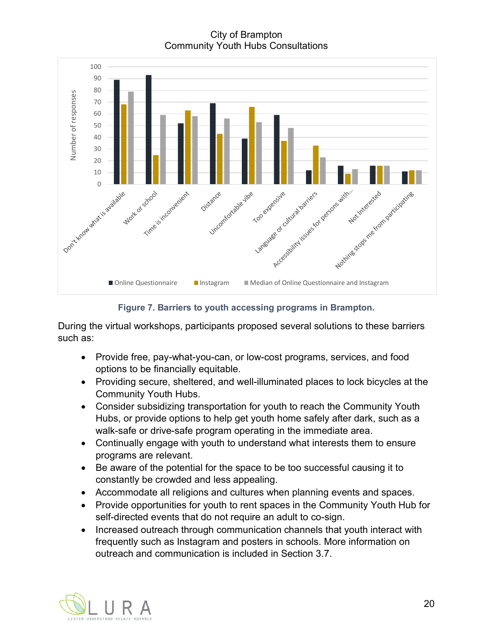City of Brampton Community Youth Hubs Consultations



**Figure 7. Barriers to youth accessing programs in Brampton.**

During the virtual workshops, participants proposed several solutions to these barriers such as:

- Provide free, pay-what-you-can, or low-cost programs, services, and food options to be financially equitable.
- Providing secure, sheltered, and well-illuminated places to lock bicycles at the Community Youth Hubs.
- Consider subsidizing transportation for youth to reach the Community Youth Hubs, or provide options to help get youth home safely after dark, such as a walk-safe or drive-safe program operating in the immediate area.
- Continually engage with youth to understand what interests them to ensure programs are relevant.
- Be aware of the potential for the space to be too successful causing it to constantly be crowded and less appealing.
- Accommodate all religions and cultures when planning events and spaces.
- Provide opportunities for youth to rent spaces in the Community Youth Hub for self-directed events that do not require an adult to co-sign.
- Increased outreach through communication channels that youth interact with frequently such as Instagram and posters in schools. More information on outreach and communication is included in Section 3.7.

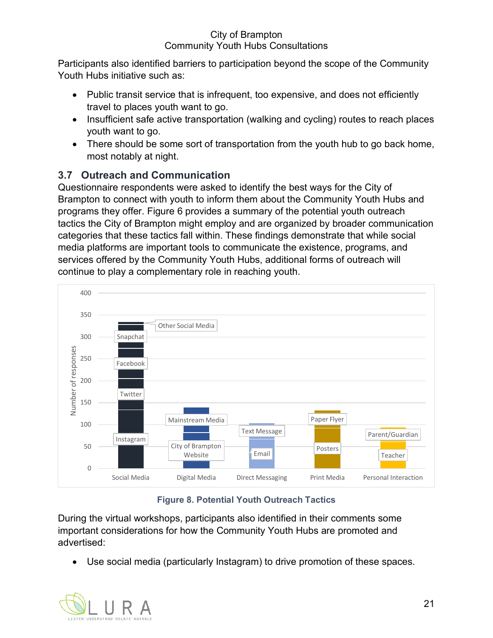Participants also identified barriers to participation beyond the scope of the Community Youth Hubs initiative such as:

- Public transit service that is infrequent, too expensive, and does not efficiently travel to places youth want to go.
- Insufficient safe active transportation (walking and cycling) routes to reach places youth want to go.
- There should be some sort of transportation from the youth hub to go back home, most notably at night.

# <span id="page-24-0"></span>**3.7 Outreach and Communication**

Questionnaire respondents were asked to identify the best ways for the City of Brampton to connect with youth to inform them about the Community Youth Hubs and programs they offer. Figure 6 provides a summary of the potential youth outreach tactics the City of Brampton might employ and are organized by broader communication categories that these tactics fall within. These findings demonstrate that while social media platforms are important tools to communicate the existence, programs, and services offered by the Community Youth Hubs, additional forms of outreach will continue to play a complementary role in reaching youth.



## **Figure 8. Potential Youth Outreach Tactics**

During the virtual workshops, participants also identified in their comments some important considerations for how the Community Youth Hubs are promoted and advertised:

• Use social media (particularly Instagram) to drive promotion of these spaces.

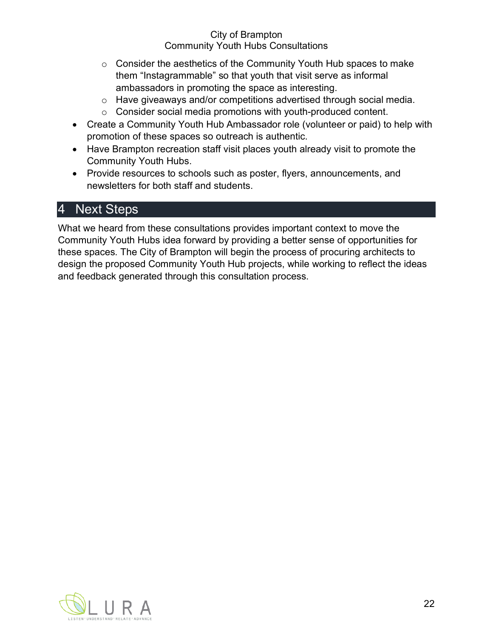- o Consider the aesthetics of the Community Youth Hub spaces to make them "Instagrammable" so that youth that visit serve as informal ambassadors in promoting the space as interesting.
- o Have giveaways and/or competitions advertised through social media.
- o Consider social media promotions with youth-produced content.
- Create a Community Youth Hub Ambassador role (volunteer or paid) to help with promotion of these spaces so outreach is authentic.
- Have Brampton recreation staff visit places youth already visit to promote the Community Youth Hubs.
- Provide resources to schools such as poster, flyers, announcements, and newsletters for both staff and students.

# <span id="page-25-0"></span>4 Next Steps

What we heard from these consultations provides important context to move the Community Youth Hubs idea forward by providing a better sense of opportunities for these spaces. The City of Brampton will begin the process of procuring architects to design the proposed Community Youth Hub projects, while working to reflect the ideas and feedback generated through this consultation process.